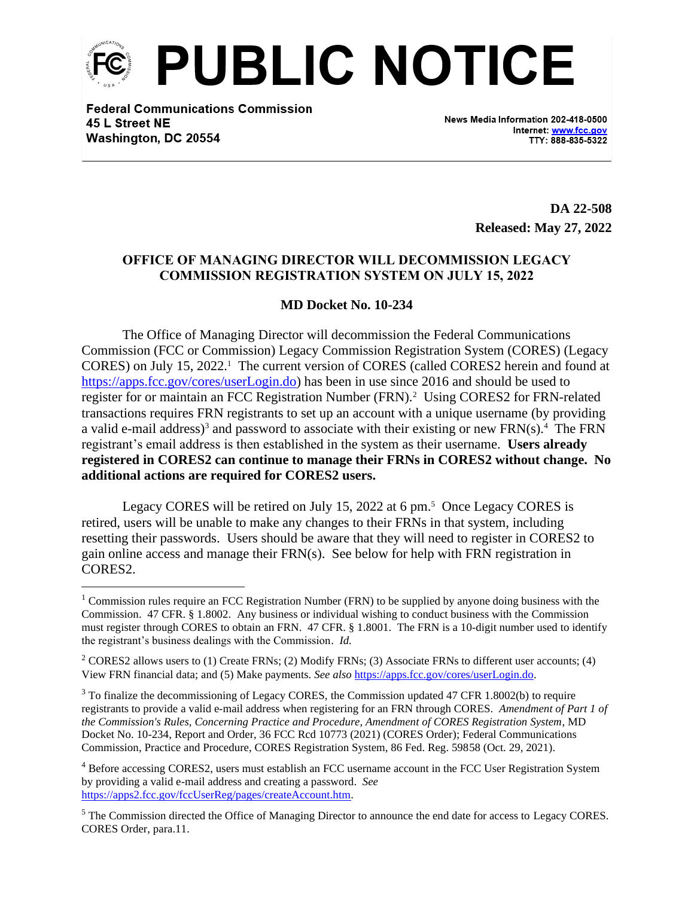

**Federal Communications Commission** 45 L Street NE Washington, DC 20554

News Media Information 202-418-0500 Internet: www.fcc.gov TTY: 888-835-5322

> **DA 22-508 Released: May 27, 2022**

## **OFFICE OF MANAGING DIRECTOR WILL DECOMMISSION LEGACY COMMISSION REGISTRATION SYSTEM ON JULY 15, 2022**

## **MD Docket No. 10-234**

The Office of Managing Director will decommission the Federal Communications Commission (FCC or Commission) Legacy Commission Registration System (CORES) (Legacy CORES) on July 15, 2022. 1 The current version of CORES (called CORES2 herein and found at [https://apps.fcc.gov/cores/userLogin.do\)](https://apps.fcc.gov/cores/userLogin.do) has been in use since 2016 and should be used to register for or maintain an FCC Registration Number (FRN).<sup>2</sup> Using CORES2 for FRN-related transactions requires FRN registrants to set up an account with a unique username (by providing a valid e-mail address)<sup>3</sup> and password to associate with their existing or new  $FRN(s)$ .<sup>4</sup> The  $FRN$ registrant's email address is then established in the system as their username. **Users already registered in CORES2 can continue to manage their FRNs in CORES2 without change. No additional actions are required for CORES2 users.** 

Legacy CORES will be retired on July 15, 2022 at 6 pm.<sup>5</sup> Once Legacy CORES is retired, users will be unable to make any changes to their FRNs in that system, including resetting their passwords. Users should be aware that they will need to register in CORES2 to gain online access and manage their FRN(s). See below for help with FRN registration in CORES<sub>2</sub>

<sup>&</sup>lt;sup>1</sup> Commission rules require an FCC Registration Number (FRN) to be supplied by anyone doing business with the Commission. 47 CFR. § 1.8002. Any business or individual wishing to conduct business with the Commission must register through CORES to obtain an FRN. 47 CFR. § 1.8001. The FRN is a 10-digit number used to identify the registrant's business dealings with the Commission. *Id.* 

<sup>&</sup>lt;sup>2</sup> CORES2 allows users to (1) Create FRNs; (2) Modify FRNs; (3) Associate FRNs to different user accounts; (4) View FRN financial data; and (5) Make payments. *See also* [https://apps.fcc.gov/cores/userLogin.do.](https://apps.fcc.gov/cores/userLogin.do)

<sup>&</sup>lt;sup>3</sup> To finalize the decommissioning of Legacy CORES, the Commission updated 47 CFR 1.8002(b) to require registrants to provide a valid e-mail address when registering for an FRN through CORES. *Amendment of Part 1 of the Commission's Rules, Concerning Practice and Procedure, Amendment of CORES Registration System*, MD Docket No. 10-234, Report and Order, 36 FCC Rcd 10773 (2021) (CORES Order); Federal Communications Commission, Practice and Procedure, CORES Registration System, 86 Fed. Reg. 59858 (Oct. 29, 2021).

<sup>4</sup> Before accessing CORES2, users must establish an FCC username account in the FCC User Registration System by providing a valid e-mail address and creating a password. *See* [https://apps2.fcc.gov/fccUserReg/pages/createAccount.htm.](https://apps2.fcc.gov/fccUserReg/pages/createAccount.htm)

<sup>&</sup>lt;sup>5</sup> The Commission directed the Office of Managing Director to announce the end date for access to Legacy CORES. CORES Order, para.11.